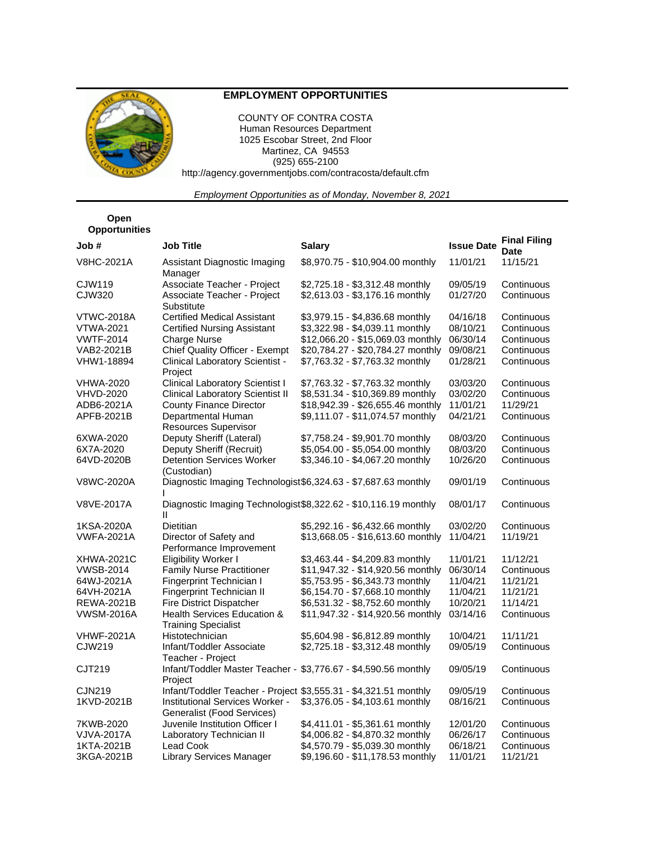

## **EMPLOYMENT OPPORTUNITIES**

COUNTY OF CONTRA COSTA Human Resources Department 1025 Escobar Street, 2nd Floor Martinez, CA 94553 (925) 655-2100 http://agency.governmentjobs.com/contracosta/default.cfm

*Employment Opportunities as of Monday, November 8, 2021*

## **Open Opportunities**

| Job #             | <b>Job Title</b>                                                           | <b>Salary</b>                                                    | <b>Issue Date</b> | <b>Final Filing</b><br><b>Date</b> |
|-------------------|----------------------------------------------------------------------------|------------------------------------------------------------------|-------------------|------------------------------------|
| <b>V8HC-2021A</b> | Assistant Diagnostic Imaging<br>Manager                                    | \$8,970.75 - \$10,904.00 monthly                                 | 11/01/21          | 11/15/21                           |
| CJW119            | Associate Teacher - Project                                                | \$2,725.18 - \$3,312.48 monthly                                  | 09/05/19          | Continuous                         |
| CJW320            | Associate Teacher - Project<br>Substitute                                  | \$2,613.03 - \$3,176.16 monthly                                  | 01/27/20          | Continuous                         |
| VTWC-2018A        | <b>Certified Medical Assistant</b>                                         | \$3,979.15 - \$4,836.68 monthly                                  | 04/16/18          | Continuous                         |
| <b>VTWA-2021</b>  | <b>Certified Nursing Assistant</b>                                         | \$3,322.98 - \$4,039.11 monthly                                  | 08/10/21          | Continuous                         |
| <b>VWTF-2014</b>  | <b>Charge Nurse</b>                                                        | \$12,066.20 - \$15,069.03 monthly                                | 06/30/14          | Continuous                         |
| VAB2-2021B        | Chief Quality Officer - Exempt                                             | \$20,784.27 - \$20,784.27 monthly                                | 09/08/21          | Continuous                         |
| VHW1-18894        | Clinical Laboratory Scientist -<br>Project                                 | \$7,763.32 - \$7,763.32 monthly                                  | 01/28/21          | Continuous                         |
| VHWA-2020         | <b>Clinical Laboratory Scientist I</b>                                     | \$7,763.32 - \$7,763.32 monthly                                  | 03/03/20          | Continuous                         |
| VHVD-2020         | <b>Clinical Laboratory Scientist II</b>                                    | \$8,531.34 - \$10,369.89 monthly                                 | 03/02/20          | Continuous                         |
| ADB6-2021A        | <b>County Finance Director</b>                                             | \$18,942.39 - \$26,655.46 monthly                                | 11/01/21          | 11/29/21                           |
| APFB-2021B        | Departmental Human<br><b>Resources Supervisor</b>                          | \$9,111.07 - \$11,074.57 monthly                                 | 04/21/21          | Continuous                         |
| 6XWA-2020         | Deputy Sheriff (Lateral)                                                   | \$7,758.24 - \$9,901.70 monthly                                  | 08/03/20          | Continuous                         |
| 6X7A-2020         | Deputy Sheriff (Recruit)                                                   | \$5,054.00 - \$5,054.00 monthly                                  | 08/03/20          | Continuous                         |
| 64VD-2020B        | <b>Detention Services Worker</b><br>(Custodian)                            | \$3,346.10 - \$4,067.20 monthly                                  | 10/26/20          | Continuous                         |
| V8WC-2020A        | Diagnostic Imaging Technologist \$6,324.63 - \$7,687.63 monthly            |                                                                  | 09/01/19          | Continuous                         |
| V8VE-2017A        | Ш                                                                          | Diagnostic Imaging Technologist \$8,322.62 - \$10,116.19 monthly | 08/01/17          | Continuous                         |
| 1KSA-2020A        | <b>Dietitian</b>                                                           | \$5,292.16 - \$6,432.66 monthly                                  | 03/02/20          | Continuous                         |
| <b>VWFA-2021A</b> | Director of Safety and<br>Performance Improvement                          | \$13,668.05 - \$16,613.60 monthly                                | 11/04/21          | 11/19/21                           |
| XHWA-2021C        | <b>Eligibility Worker I</b>                                                | \$3,463.44 - \$4,209.83 monthly                                  | 11/01/21          | 11/12/21                           |
| VWSB-2014         | <b>Family Nurse Practitioner</b>                                           | \$11,947.32 - \$14,920.56 monthly                                | 06/30/14          | Continuous                         |
| 64WJ-2021A        | <b>Fingerprint Technician I</b>                                            | \$5,753.95 - \$6,343.73 monthly                                  | 11/04/21          | 11/21/21                           |
| 64VH-2021A        | Fingerprint Technician II                                                  | \$6,154.70 - \$7,668.10 monthly                                  | 11/04/21          | 11/21/21                           |
| <b>REWA-2021B</b> | <b>Fire District Dispatcher</b>                                            | \$6,531.32 - \$8,752.60 monthly                                  | 10/20/21          | 11/14/21                           |
| VWSM-2016A        | Health Services Education &<br><b>Training Specialist</b>                  | \$11,947.32 - \$14,920.56 monthly                                | 03/14/16          | Continuous                         |
| <b>VHWF-2021A</b> | Histotechnician                                                            | \$5,604.98 - \$6,812.89 monthly                                  | 10/04/21          | 11/11/21                           |
| CJW219            | Infant/Toddler Associate<br>Teacher - Project                              | \$2,725.18 - \$3,312.48 monthly                                  | 09/05/19          | Continuous                         |
| CJT219            | Infant/Toddler Master Teacher - \$3,776.67 - \$4,590.56 monthly<br>Project |                                                                  | 09/05/19          | Continuous                         |
| <b>CJN219</b>     | Infant/Toddler Teacher - Project \$3,555.31 - \$4,321.51 monthly           |                                                                  | 09/05/19          | Continuous                         |
| 1KVD-2021B        | Institutional Services Worker -<br>Generalist (Food Services)              | \$3,376.05 - \$4,103.61 monthly                                  | 08/16/21          | Continuous                         |
| 7KWB-2020         | Juvenile Institution Officer I                                             | \$4,411.01 - \$5,361.61 monthly                                  | 12/01/20          | Continuous                         |
| VJVA-2017A        | Laboratory Technician II                                                   | \$4,006.82 - \$4,870.32 monthly                                  | 06/26/17          | Continuous                         |
| 1KTA-2021B        | <b>Lead Cook</b>                                                           | \$4,570.79 - \$5,039.30 monthly                                  | 06/18/21          | Continuous                         |
| 3KGA-2021B        | Library Services Manager                                                   | \$9,196.60 - \$11,178.53 monthly                                 | 11/01/21          | 11/21/21                           |